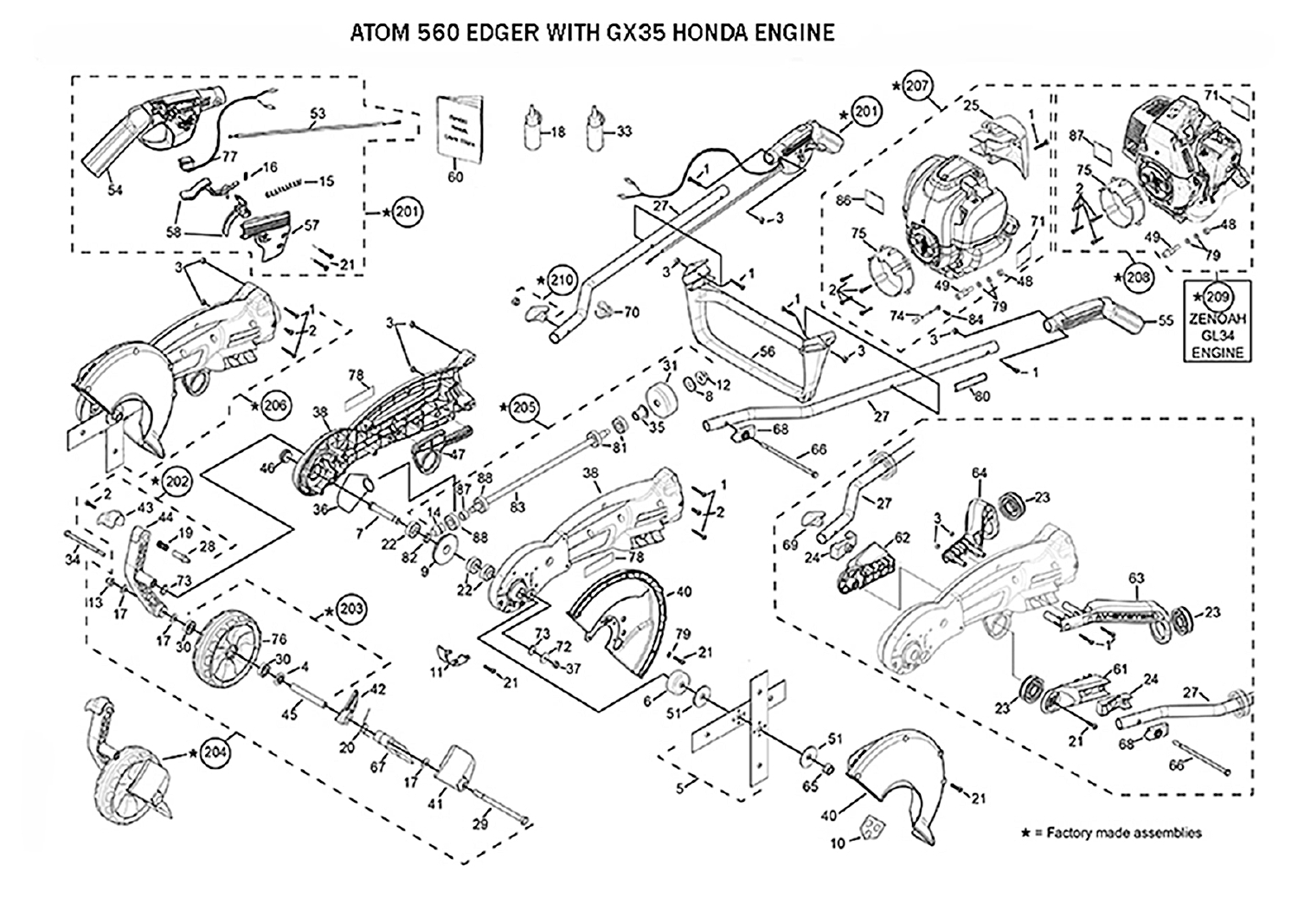## ATOM 560 EDGER WITH GX35 HONDA ENGINE